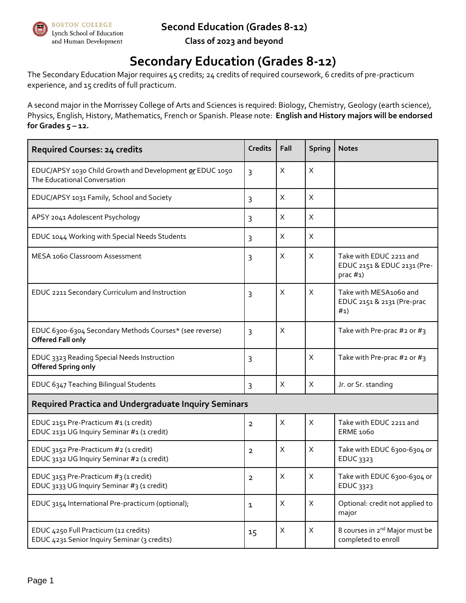#### **Second Education (Grades 8-12)**



**BOSTON COLLEGE** Lynch School of Education and Human Development

**Class of 2023 and beyond**

# **Secondary Education (Grades 8-12)**

The Secondary Education Major requires 45 credits; 24 credits of required coursework, 6 credits of pre-practicum experience, and 15 credits of full practicum.

A second major in the Morrissey College of Arts and Sciences is required: Biology, Chemistry, Geology (earth science), Physics, English, History, Mathematics, French or Spanish. Please note: **English and History majors will be endorsed for Grades 5 – 12.**

| <b>Required Courses: 24 credits</b>                                                      | <b>Credits</b> | Fall | <b>Spring</b>             | <b>Notes</b>                                                           |
|------------------------------------------------------------------------------------------|----------------|------|---------------------------|------------------------------------------------------------------------|
| EDUC/APSY 1030 Child Growth and Development or EDUC 1050<br>The Educational Conversation | 3              | X    | X                         |                                                                        |
| EDUC/APSY 1031 Family, School and Society                                                | 3              | X    | X                         |                                                                        |
| APSY 2041 Adolescent Psychology                                                          | 3              | X    | X                         |                                                                        |
| EDUC 1044 Working with Special Needs Students                                            | 3              | X    | $\mathsf X$               |                                                                        |
| MESA 1060 Classroom Assessment                                                           | 3              | X    | $\boldsymbol{\mathsf{X}}$ | Take with EDUC 2211 and<br>EDUC 2151 & EDUC 2131 (Pre-<br>prac $#1$ )  |
| EDUC 2211 Secondary Curriculum and Instruction                                           | 3              | X    | X                         | Take with MESA1060 and<br>EDUC 2151 & 2131 (Pre-prac<br># <sub>1</sub> |
| EDUC 6300-6304 Secondary Methods Courses* (see reverse)<br><b>Offered Fall only</b>      | 3              | X    |                           | Take with Pre-prac #2 or #3                                            |
| EDUC 3323 Reading Special Needs Instruction<br><b>Offered Spring only</b>                | 3              |      | X                         | Take with Pre-prac #2 or #3                                            |
| EDUC 6347 Teaching Bilingual Students                                                    | 3              | X    | X                         | Jr. or Sr. standing                                                    |
| <b>Required Practica and Undergraduate Inquiry Seminars</b>                              |                |      |                           |                                                                        |
| EDUC 2151 Pre-Practicum #1 (1 credit)<br>EDUC 2131 UG Inquiry Seminar #1 (1 credit)      | $\overline{2}$ | X    | $\mathsf X$               | Take with EDUC 2211 and<br>ERME 1060                                   |
| EDUC 3152 Pre-Practicum #2 (1 credit)<br>EDUC 3132 UG Inquiry Seminar #2 (1 credit)      | $\overline{2}$ | X    | X                         | Take with EDUC 6300-6304 or<br>EDUC 3323                               |
| EDUC 3153 Pre-Practicum #3 (1 credit)<br>EDUC 3133 UG Inquiry Seminar #3 (1 credit)      | $\overline{2}$ | Χ    | X                         | Take with EDUC 6300-6304 or<br>EDUC 3323                               |
| EDUC 3154 International Pre-practicum (optional);                                        | $\mathbf{1}$   | Χ    | $\mathsf X$               | Optional: credit not applied to<br>major                               |
| EDUC 4250 Full Practicum (12 credits)<br>EDUC 4231 Senior Inquiry Seminar (3 credits)    | 15             | Χ    | X                         | 8 courses in 2 <sup>nd</sup> Major must be<br>completed to enroll      |